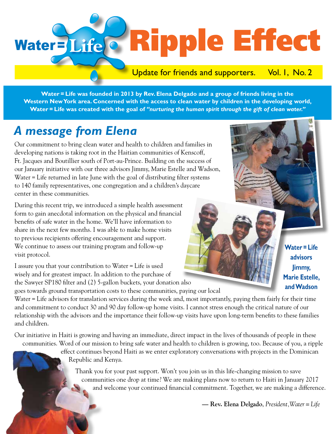# Water=Life@ Ripple Effect

## Update for friends and supporters. Vol. I, No. 2

**Water = Life was founded in 2013 by Rev. Elena Delgado and a group of friends living in the Western New York area. Concerned with the access to clean water by children in the developing world, Water = Life was created with the goal of** *"nurturing the human spirit through the gift of clean water."* 

# *A message from Elena*

Our commitment to bring clean water and health to children and families in developing nations is taking root in the Haitian communities of Kenscoff, Ft. Jacques and Boutillier south of Port-au-Prince. Building on the success of our January initiative with our three advisors Jimmy, Marie Estelle and Wadson, Water = Life returned in late June with the goal of distributing filter systems to 140 family representatives, one congregation and a children's daycare center in these communities.

During this recent trip, we introduced a simple health assessment form to gain anecdotal information on the physical and financial benefits of safe water in the home. We'll have information to share in the next few months. I was able to make home visits to previous recipients offering encouragement and support. We continue to assess our training program and follow-up visit protocol.

I assure you that your contribution to Water = Life is used wisely and for greatest impact. In addition to the purchase of the Sawyer SP180 filter and (2) 5-gallon buckets, your donation also

goes towards ground transportation costs to these communities, paying our local

Water = Life advisors for translation services during the week and, most importantly, paying them fairly for their time and commitment to conduct 30 and 90 day follow-up home visits. I cannot stress enough the critical nature of our relationship with the advisors and the importance their follow-up visits have upon long-term benefits to these families and children.

Our initiative in Haiti is growing and having an immediate, direct impact in the lives of thousands of people in these communities. Word of our mission to bring safe water and health to children is growing, too. Because of you, a ripple

> effect continues beyond Haiti as we enter exploratory conversations with projects in the Dominican Republic and Kenya.

 Thank you for your past support. Won't you join us in this life-changing mission to save communities one drop at time? We are making plans now to return to Haiti in January 2017 and welcome your continued financial commitment. Together, we are making a difference.

 **— Rev. Elena Delgado**, *President,Water = Life*

**Water = Life advisors** 

**Jimmy, Marie Estelle, and Wadson**